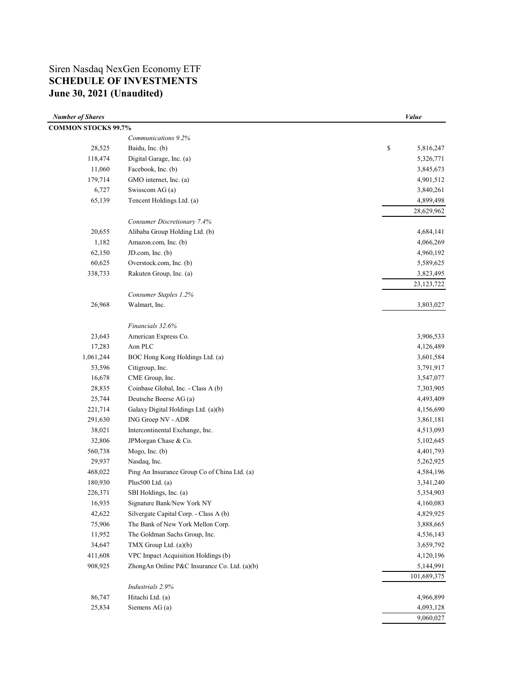# Siren Nasdaq NexGen Economy ETF **SCHEDULE OF INVESTMENTS June 30, 2021 (Unaudited)**

| <b>Number of Shares</b>    |                                              | Value           |
|----------------------------|----------------------------------------------|-----------------|
| <b>COMMON STOCKS 99.7%</b> |                                              |                 |
|                            | Communications 9.2%                          |                 |
| 28,525                     | Baidu, Inc. (b)                              | \$<br>5,816,247 |
| 118,474                    | Digital Garage, Inc. (a)                     | 5,326,771       |
| 11,060                     | Facebook, Inc. (b)                           | 3,845,673       |
| 179,714                    | GMO internet, Inc. (a)                       | 4,901,512       |
| 6,727                      | Swisscom AG (a)                              | 3,840,261       |
| 65,139                     | Tencent Holdings Ltd. (a)                    | 4,899,498       |
|                            |                                              | 28,629,962      |
|                            | Consumer Discretionary 7.4%                  |                 |
| 20,655                     | Alibaba Group Holding Ltd. (b)               | 4,684,141       |
| 1,182                      | Amazon.com, Inc. (b)                         | 4,066,269       |
| 62,150                     | JD.com, Inc. (b)                             | 4,960,192       |
| 60,625                     | Overstock.com, Inc. (b)                      | 5,589,625       |
| 338,733                    | Rakuten Group, Inc. (a)                      | 3,823,495       |
|                            |                                              | 23, 123, 722    |
|                            | Consumer Staples 1.2%                        |                 |
| 26,968                     | Walmart, Inc.                                | 3,803,027       |
|                            | Financials 32.6%                             |                 |
| 23,643                     | American Express Co.                         | 3,906,533       |
| 17,283                     | Aon PLC                                      | 4,126,489       |
| 1,061,244                  | BOC Hong Kong Holdings Ltd. (a)              | 3,601,584       |
| 53,596                     | Citigroup, Inc.                              | 3,791,917       |
| 16,678                     | CME Group, Inc.                              | 3,547,077       |
| 28,835                     | Coinbase Global, Inc. - Class A (b)          | 7,303,905       |
| 25,744                     | Deutsche Boerse AG (a)                       | 4,493,409       |
| 221,714                    | Galaxy Digital Holdings Ltd. (a)(b)          | 4,156,690       |
| 291,630                    | ING Groep NV - ADR                           | 3,861,181       |
| 38,021                     | Intercontinental Exchange, Inc.              | 4,513,093       |
| 32,806                     | JPMorgan Chase & Co.                         | 5,102,645       |
| 560,738                    | Mogo, Inc. (b)                               | 4,401,793       |
| 29,937                     | Nasdaq, Inc.                                 | 5,262,925       |
| 468,022                    | Ping An Insurance Group Co of China Ltd. (a) | 4,584,196       |
| 180,930                    | Plus500 Ltd. (a)                             | 3,341,240       |
| 226,371                    | SBI Holdings, Inc. (a)                       | 5,354,903       |
| 16,935                     | Signature Bank/New York NY                   | 4,160,083       |
| 42,622                     | Silvergate Capital Corp. - Class A (b)       | 4,829,925       |
| 75,906                     | The Bank of New York Mellon Corp.            | 3,888,665       |
| 11,952                     | The Goldman Sachs Group, Inc.                | 4,536,143       |
| 34,647                     | TMX Group Ltd. (a)(b)                        | 3,659,792       |
| 411,608                    | VPC Impact Acquisition Holdings (b)          | 4,120,196       |
| 908,925                    | ZhongAn Online P&C Insurance Co. Ltd. (a)(b) | 5,144,991       |
|                            |                                              | 101,689,375     |
|                            | Industrials 2.9%                             |                 |
| 86,747                     | Hitachi Ltd. (a)                             | 4,966,899       |
| 25,834                     | Siemens AG (a)                               | 4,093,128       |
|                            |                                              | 9,060,027       |
|                            |                                              |                 |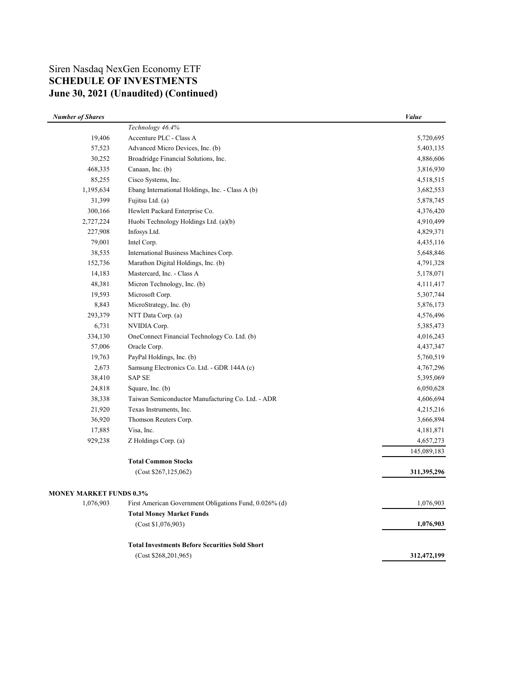# Siren Nasdaq NexGen Economy ETF **SCHEDULE OF INVESTMENTS June 30, 2021 (Unaudited) (Continued)**

| <b>Number of Shares</b>        |                                                        | Value       |
|--------------------------------|--------------------------------------------------------|-------------|
|                                | Technology 46.4%                                       |             |
| 19,406                         | Accenture PLC - Class A                                | 5,720,695   |
| 57,523                         | Advanced Micro Devices, Inc. (b)                       | 5,403,135   |
| 30,252                         | Broadridge Financial Solutions, Inc.                   | 4,886,606   |
| 468,335                        | Canaan, Inc. (b)                                       | 3,816,930   |
| 85,255                         | Cisco Systems, Inc.                                    | 4,518,515   |
| 1,195,634                      | Ebang International Holdings, Inc. - Class A (b)       | 3,682,553   |
| 31,399                         | Fujitsu Ltd. (a)                                       | 5,878,745   |
| 300,166                        | Hewlett Packard Enterprise Co.                         | 4,376,420   |
| 2,727,224                      | Huobi Technology Holdings Ltd. (a)(b)                  | 4,910,499   |
| 227,908                        | Infosys Ltd.                                           | 4,829,371   |
| 79,001                         | Intel Corp.                                            | 4,435,116   |
| 38,535                         | International Business Machines Corp.                  | 5,648,846   |
| 152,736                        | Marathon Digital Holdings, Inc. (b)                    | 4,791,328   |
| 14,183                         | Mastercard, Inc. - Class A                             | 5,178,071   |
| 48,381                         | Micron Technology, Inc. (b)                            | 4,111,417   |
| 19,593                         | Microsoft Corp.                                        | 5,307,744   |
| 8,843                          | MicroStrategy, Inc. (b)                                | 5,876,173   |
| 293,379                        | NTT Data Corp. (a)                                     | 4,576,496   |
| 6,731                          | NVIDIA Corp.                                           | 5,385,473   |
| 334,130                        | OneConnect Financial Technology Co. Ltd. (b)           | 4,016,243   |
| 57,006                         | Oracle Corp.                                           | 4,437,347   |
| 19,763                         | PayPal Holdings, Inc. (b)                              | 5,760,519   |
| 2,673                          | Samsung Electronics Co. Ltd. - GDR 144A (c)            | 4,767,296   |
| 38,410                         | <b>SAP SE</b>                                          | 5,395,069   |
| 24,818                         | Square, Inc. (b)                                       | 6,050,628   |
| 38,338                         | Taiwan Semiconductor Manufacturing Co. Ltd. - ADR      | 4,606,694   |
| 21,920                         | Texas Instruments, Inc.                                | 4,215,216   |
| 36,920                         | Thomson Reuters Corp.                                  | 3,666,894   |
| 17,885                         | Visa, Inc.                                             | 4,181,871   |
| 929,238                        | Z Holdings Corp. (a)                                   | 4,657,273   |
|                                |                                                        | 145,089,183 |
|                                | <b>Total Common Stocks</b>                             |             |
|                                | (Cost \$267,125,062)                                   | 311,395,296 |
| <b>MONEY MARKET FUNDS 0.3%</b> |                                                        |             |
| 1,076,903                      | First American Government Obligations Fund, 0.026% (d) | 1,076,903   |
|                                | <b>Total Money Market Funds</b>                        |             |
|                                | (Cost \$1,076,903)                                     | 1,076,903   |
|                                | <b>Total Investments Before Securities Sold Short</b>  |             |
|                                | (Cost \$268,201,965)                                   | 312,472,199 |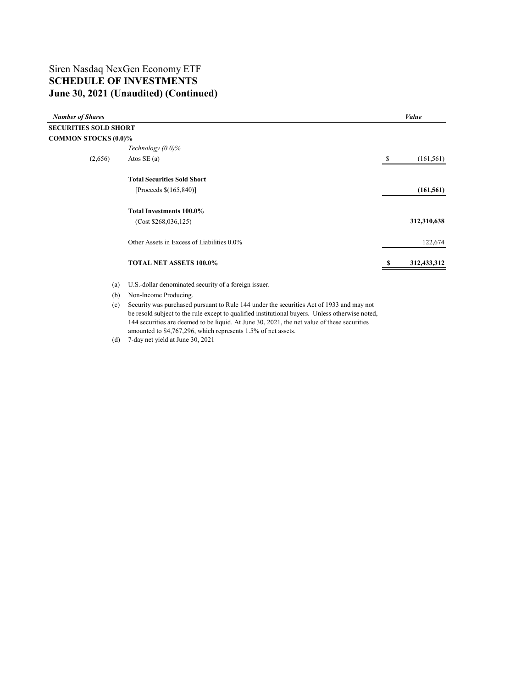## Siren Nasdaq NexGen Economy ETF **SCHEDULE OF INVESTMENTS June 30, 2021 (Unaudited) (Continued)**

| <b>Number of Shares</b>      |                                            |    | Value       |  |  |
|------------------------------|--------------------------------------------|----|-------------|--|--|
| <b>SECURITIES SOLD SHORT</b> |                                            |    |             |  |  |
| <b>COMMON STOCKS (0.0)%</b>  |                                            |    |             |  |  |
|                              | Technology $(0.0)\%$                       |    |             |  |  |
| (2,656)                      | Atos SE $(a)$                              | \$ | (161, 561)  |  |  |
|                              | <b>Total Securities Sold Short</b>         |    |             |  |  |
|                              | [Proceeds $$(165,840)]$ ]                  |    | (161, 561)  |  |  |
|                              | Total Investments 100.0%                   |    |             |  |  |
|                              | (Cost \$268,036,125)                       |    | 312,310,638 |  |  |
|                              | Other Assets in Excess of Liabilities 0.0% |    | 122,674     |  |  |
|                              | TOTAL NET ASSETS 100.0%                    | ъ  | 312,433,312 |  |  |
|                              |                                            |    |             |  |  |

(a) U.S.-dollar denominated security of a foreign issuer.

(b) Non-Income Producing.

(c) Security was purchased pursuant to Rule 144 under the securities Act of 1933 and may not be resold subject to the rule except to qualified institutional buyers. Unless otherwise noted, 144 securities are deemed to be liquid. At June 30, 2021, the net value of these securities amounted to \$4,767,296, which represents 1.5% of net assets.

(d) 7-day net yield at June 30, 2021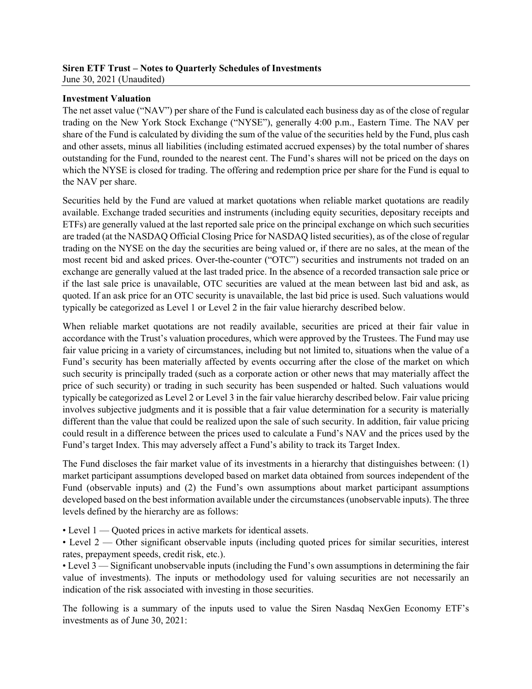#### **Siren ETF Trust – Notes to Quarterly Schedules of Investments** June 30, 2021 (Unaudited)

### **Investment Valuation**

The net asset value ("NAV") per share of the Fund is calculated each business day as of the close of regular trading on the New York Stock Exchange ("NYSE"), generally 4:00 p.m., Eastern Time. The NAV per share of the Fund is calculated by dividing the sum of the value of the securities held by the Fund, plus cash and other assets, minus all liabilities (including estimated accrued expenses) by the total number of shares outstanding for the Fund, rounded to the nearest cent. The Fund's shares will not be priced on the days on which the NYSE is closed for trading. The offering and redemption price per share for the Fund is equal to the NAV per share.

Securities held by the Fund are valued at market quotations when reliable market quotations are readily available. Exchange traded securities and instruments (including equity securities, depositary receipts and ETFs) are generally valued at the last reported sale price on the principal exchange on which such securities are traded (at the NASDAQ Official Closing Price for NASDAQ listed securities), as of the close of regular trading on the NYSE on the day the securities are being valued or, if there are no sales, at the mean of the most recent bid and asked prices. Over-the-counter ("OTC") securities and instruments not traded on an exchange are generally valued at the last traded price. In the absence of a recorded transaction sale price or if the last sale price is unavailable, OTC securities are valued at the mean between last bid and ask, as quoted. If an ask price for an OTC security is unavailable, the last bid price is used. Such valuations would typically be categorized as Level 1 or Level 2 in the fair value hierarchy described below.

When reliable market quotations are not readily available, securities are priced at their fair value in accordance with the Trust's valuation procedures, which were approved by the Trustees. The Fund may use fair value pricing in a variety of circumstances, including but not limited to, situations when the value of a Fund's security has been materially affected by events occurring after the close of the market on which such security is principally traded (such as a corporate action or other news that may materially affect the price of such security) or trading in such security has been suspended or halted. Such valuations would typically be categorized as Level 2 or Level 3 in the fair value hierarchy described below. Fair value pricing involves subjective judgments and it is possible that a fair value determination for a security is materially different than the value that could be realized upon the sale of such security. In addition, fair value pricing could result in a difference between the prices used to calculate a Fund's NAV and the prices used by the Fund's target Index. This may adversely affect a Fund's ability to track its Target Index.

The Fund discloses the fair market value of its investments in a hierarchy that distinguishes between: (1) market participant assumptions developed based on market data obtained from sources independent of the Fund (observable inputs) and (2) the Fund's own assumptions about market participant assumptions developed based on the best information available under the circumstances (unobservable inputs). The three levels defined by the hierarchy are as follows:

• Level 1 — Quoted prices in active markets for identical assets.

• Level 2 — Other significant observable inputs (including quoted prices for similar securities, interest rates, prepayment speeds, credit risk, etc.).

• Level 3 — Significant unobservable inputs (including the Fund's own assumptions in determining the fair value of investments). The inputs or methodology used for valuing securities are not necessarily an indication of the risk associated with investing in those securities.

The following is a summary of the inputs used to value the Siren Nasdaq NexGen Economy ETF's investments as of June 30, 2021: